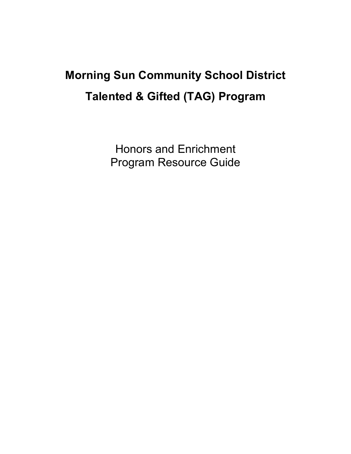# **Morning Sun Community School District Talented & Gifted (TAG) Program**

Honors and Enrichment Program Resource Guide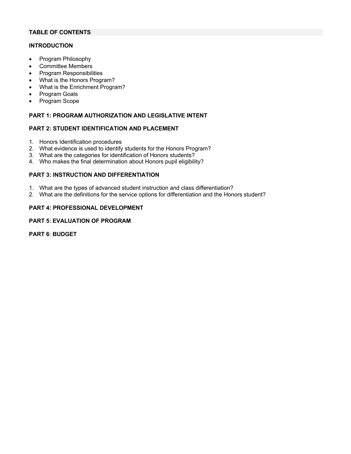# **TABLE OF CONTENTS**

#### **INTRODUCTION**

- Program Philosophy
- Committee Members
- Program Responsibilities
- What is the Honors Program?
- What is the Enrichment Program?
- Program Goals
- Program Scope

# **PART 1: PROGRAM AUTHORIZATION AND LEGISLATIVE INTENT**

#### **PART 2: STUDENT IDENTIFICATION AND PLACEMENT**

- 1. Honors Identification procedures
- 2. What evidence is used to identify students for the Honors Program?
- 3. What are the categories for identification of Honors students?
- 4. Who makes the final determination about Honors pupil eligibility?

#### **PART 3: INSTRUCTION AND DIFFERENTIATION**

- 1. What are the types of advanced student instruction and class differentiation?
- 2. What are the definitions for the service options for differentiation and the Honors student?

#### **PART 4: PROFESSIONAL DEVELOPMENT**

#### **PART 5**: **EVALUATION OF PROGRAM**

**PART 6**: **BUDGET**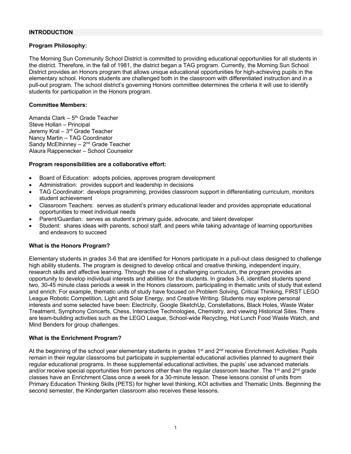#### **INTRODUCTION**

#### **Program Philosophy:**

The Morning Sun Community School District is committed to providing educational opportunities for all students in the district. Therefore, in the fall of 1981, the district began a TAG program. Currently, the Morning Sun School District provides an Honors program that allows unique educational opportunities for high-achieving pupils in the elementary school. Honors students are challenged both in the classroom with differentiated instruction and in a pull-out program. The school district's governing Honors committee determines the criteria it will use to identify students for participation in the Honors program.

#### **Committee Members:**

Amanda Clark –  $5<sup>th</sup>$  Grade Teacher Steve Hollan – Principal Jeremy Kral – 3rd Grade Teacher Nancy Martin – TAG Coordinator Sandy McElhinney –  $2<sup>nd</sup>$  Grade Teacher Alaura Rappenecker – School Counselor

#### **Program responsibilities are a collaborative effort:**

- Board of Education: adopts policies, approves program development
- Administration: provides support and leadership in decisions
- TAG Coordinator: develops programming, provides classroom support in differentiating curriculum, monitors student achievement
- Classroom Teachers: serves as student's primary educational leader and provides appropriate educational opportunities to meet individual needs
- Parent/Guardian: serves as student's primary guide, advocate, and talent developer
- Student: shares ideas with parents, school staff, and peers while taking advantage of learning opportunities and endeavors to succeed

#### **What is the Honors Program?**

Elementary students in grades 3-6 that are identified for Honors participate in a pull-out class designed to challenge high ability students. The program is designed to develop critical and creative thinking, independent inquiry, research skills and affective learning. Through the use of a challenging curriculum, the program provides an opportunity to develop individual interests and abilities for the students. In grades 3-6, identified students spend two, 30-45 minute class periods a week in the Honors classroom, participating in thematic units of study that extend and enrich. For example, thematic units of study have focused on Problem Solving, Critical Thinking, FIRST LEGO League Robotic Competition, Light and Solar Energy, and Creative Writing. Students may explore personal interests and some selected have been: Electricity, Google SketchUp, Constellations, Black Holes, Waste Water Treatment, Symphony Concerts, Chess, Interactive Technologies, Chemistry, and viewing Historical Sites. There are team-building activities such as the LEGO League, School-wide Recycling, Hot Lunch Food Waste Watch, and Mind Benders for group challenges.

#### **What is the Enrichment Program?**

At the beginning of the school year elementary students in grades  $1<sup>st</sup>$  and  $2<sup>nd</sup>$  receive Enrichment Activities: Pupils remain in their regular classrooms but participate in supplemental educational activities planned to augment their regular educational programs. In these supplemental educational activities, the pupils' use advanced materials and/or receive special opportunities from persons other than the regular classroom teacher. The 1<sup>st</sup> and 2<sup>nd</sup> grade classes have an Enrichment Class once a week for a 30-minute lesson. These lessons consist of units from Primary Education Thinking Skills (PETS) for higher level thinking, KOI activities and Thematic Units. Beginning the second semester, the Kindergarten classroom also receives these lessons.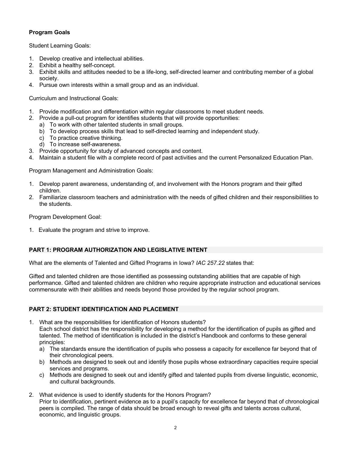# **Program Goals**

Student Learning Goals:

- 1. Develop creative and intellectual abilities.
- 2. Exhibit a healthy self-concept.
- 3. Exhibit skills and attitudes needed to be a life-long, self-directed learner and contributing member of a global society.
- 4. Pursue own interests within a small group and as an individual.

Curriculum and Instructional Goals:

- 1. Provide modification and differentiation within regular classrooms to meet student needs.
- 2. Provide a pull-out program for identifies students that will provide opportunities:
	- a) To work with other talented students in small groups.
	- b) To develop process skills that lead to self-directed learning and independent study.
	- c) To practice creative thinking.
	- d) To increase self-awareness.
- 3. Provide opportunity for study of advanced concepts and content.
- 4. Maintain a student file with a complete record of past activities and the current Personalized Education Plan.

Program Management and Administration Goals:

- 1. Develop parent awareness, understanding of, and involvement with the Honors program and their gifted children.
- 2. Familiarize classroom teachers and administration with the needs of gifted children and their responsibilities to the students.

Program Development Goal:

1. Evaluate the program and strive to improve.

# **PART 1: PROGRAM AUTHORIZATION AND LEGISLATIVE INTENT**

What are the elements of Talented and Gifted Programs in Iowa? *IAC 257.22* states that:

Gifted and talented children are those identified as possessing outstanding abilities that are capable of high performance. Gifted and talented children are children who require appropriate instruction and educational services commensurate with their abilities and needs beyond those provided by the regular school program.

# **PART 2: STUDENT IDENTIFICATION AND PLACEMENT**

- 1. What are the responsibilities for identification of Honors students? Each school district has the responsibility for developing a method for the identification of pupils as gifted and talented. The method of identification is included in the district's Handbook and conforms to these general principles:
	- a) The standards ensure the identification of pupils who possess a capacity for excellence far beyond that of their chronological peers.
	- b) Methods are designed to seek out and identify those pupils whose extraordinary capacities require special services and programs.
	- c) Methods are designed to seek out and identify gifted and talented pupils from diverse linguistic, economic, and cultural backgrounds.
- 2. What evidence is used to identify students for the Honors Program? Prior to identification, pertinent evidence as to a pupil's capacity for excellence far beyond that of chronological peers is compiled. The range of data should be broad enough to reveal gifts and talents across cultural, economic, and linguistic groups.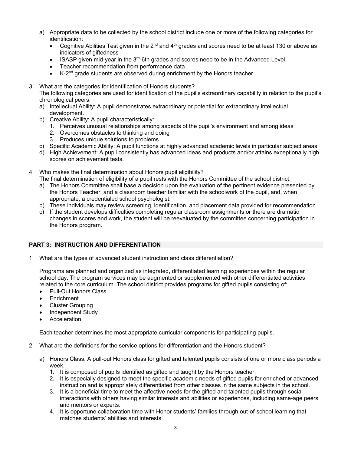- a) Appropriate data to be collected by the school district include one or more of the following categories for identification:
	- Cognitive Abilities Test given in the 2<sup>nd</sup> and 4<sup>th</sup> grades and scores need to be at least 130 or above as indicators of giftedness
	- ISASP given mid-year in the  $3<sup>rd</sup>$ -6th grades and scores need to be in the Advanced Level
	- Teacher recommendation from performance data
	- K-2<sup>nd</sup> grade students are observed during enrichment by the Honors teacher
- 3. What are the categories for identification of Honors students?

The following categories are used for identification of the pupil's extraordinary capability in relation to the pupil's chronological peers:

- a) Intellectual Ability: A pupil demonstrates extraordinary or potential for extraordinary intellectual development.
- b) Creative Ability: A pupil characteristically:
	- 1. Perceives unusual relationships among aspects of the pupil's environment and among ideas
	- 2. Overcomes obstacles to thinking and doing
	- 3. Produces unique solutions to problems
- c) Specific Academic Ability: A pupil functions at highly advanced academic levels in particular subject areas.
- d) High Achievement: A pupil consistently has advanced ideas and products and/or attains exceptionally high scores on achievement tests.
- 4. Who makes the final determination about Honors pupil eligibility?
	- The final determination of eligibility of a pupil rests with the Honors Committee of the school district.
	- a) The Honors Committee shall base a decision upon the evaluation of the pertinent evidence presented by the Honors Teacher, and a classroom teacher familiar with the schoolwork of the pupil, and, when appropriate, a credentialed school psychologist.
	- b) These individuals may review screening, identification, and placement data provided for recommendation.
	- c) If the student develops difficulties completing regular classroom assignments or there are dramatic changes in scores and work, the student will be reevaluated by the committee concerning participation in the Honors program.

# **PART 3: INSTRUCTION AND DIFFERENTIATION**

1. What are the types of advanced student instruction and class differentiation?

Programs are planned and organized as integrated, differentiated learning experiences within the regular school day. The program services may be augmented or supplemented with other differentiated activities related to the core curriculum. The school district provides programs for gifted pupils consisting of:

- Pull-Out Honors Class
- **Enrichment**
- Cluster Grouping
- Independent Study
- **Acceleration**

Each teacher determines the most appropriate curricular components for participating pupils.

- 2. What are the definitions for the service options for differentiation and the Honors student?
	- a) Honors Class: A pull-out Honors class for gifted and talented pupils consists of one or more class periods a week.
		- 1. It is composed of pupils identified as gifted and taught by the Honors teacher.
		- 2. It is especially designed to meet the specific academic needs of gifted pupils for enriched or advanced instruction and is appropriately differentiated from other classes in the same subjects in the school.
		- 3. It is a beneficial time to meet the affective needs for the gifted and talented pupils through social interactions with others having similar interests and abilities or experiences, including same-age peers and mentors or experts.
		- 4. It is opportune collaboration time with Honor students' families through out-of-school learning that matches students' abilities and interests.